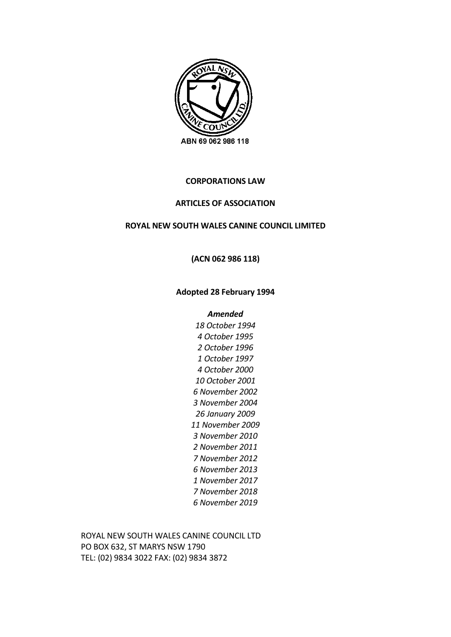

# **CORPORATIONS LAW**

## **ARTICLES OF ASSOCIATION**

## **ROYAL NEW SOUTH WALES CANINE COUNCIL LIMITED**

## **(ACN 062 986 118)**

### **Adopted 28 February 1994**

#### *Amended*

ROYAL NEW SOUTH WALES CANINE COUNCIL LTD PO BOX 632, ST MARYS NSW 1790 TEL: (02) 9834 3022 FAX: (02) 9834 3872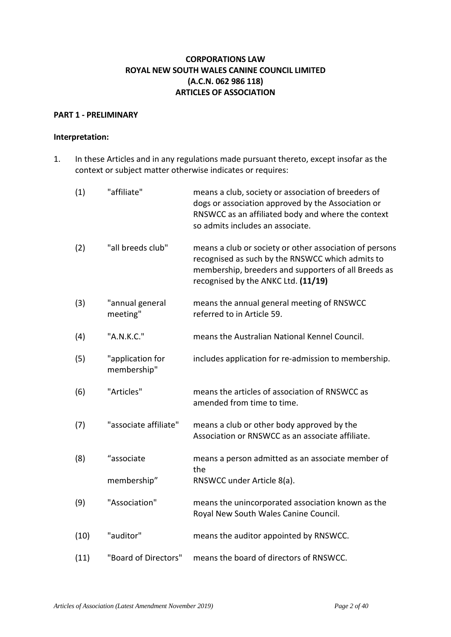# **CORPORATIONS LAW ROYAL NEW SOUTH WALES CANINE COUNCIL LIMITED (A.C.N. 062 986 118) ARTICLES OF ASSOCIATION**

## **PART 1 - PRELIMINARY**

### **Interpretation:**

1. In these Articles and in any regulations made pursuant thereto, except insofar as the context or subject matter otherwise indicates or requires:

| (1)  | "affiliate"                     | means a club, society or association of breeders of<br>dogs or association approved by the Association or<br>RNSWCC as an affiliated body and where the context<br>so admits includes an associate.        |
|------|---------------------------------|------------------------------------------------------------------------------------------------------------------------------------------------------------------------------------------------------------|
| (2)  | "all breeds club"               | means a club or society or other association of persons<br>recognised as such by the RNSWCC which admits to<br>membership, breeders and supporters of all Breeds as<br>recognised by the ANKC Ltd. (11/19) |
| (3)  | "annual general<br>meeting"     | means the annual general meeting of RNSWCC<br>referred to in Article 59.                                                                                                                                   |
| (4)  | "A.N.K.C."                      | means the Australian National Kennel Council.                                                                                                                                                              |
| (5)  | "application for<br>membership" | includes application for re-admission to membership.                                                                                                                                                       |
| (6)  | "Articles"                      | means the articles of association of RNSWCC as<br>amended from time to time.                                                                                                                               |
| (7)  | "associate affiliate"           | means a club or other body approved by the<br>Association or RNSWCC as an associate affiliate.                                                                                                             |
| (8)  | "associate                      | means a person admitted as an associate member of<br>the                                                                                                                                                   |
|      | membership"                     | RNSWCC under Article 8(a).                                                                                                                                                                                 |
| (9)  | "Association"                   | means the unincorporated association known as the<br>Royal New South Wales Canine Council.                                                                                                                 |
| (10) | "auditor"                       | means the auditor appointed by RNSWCC.                                                                                                                                                                     |
| (11) | "Board of Directors"            | means the board of directors of RNSWCC.                                                                                                                                                                    |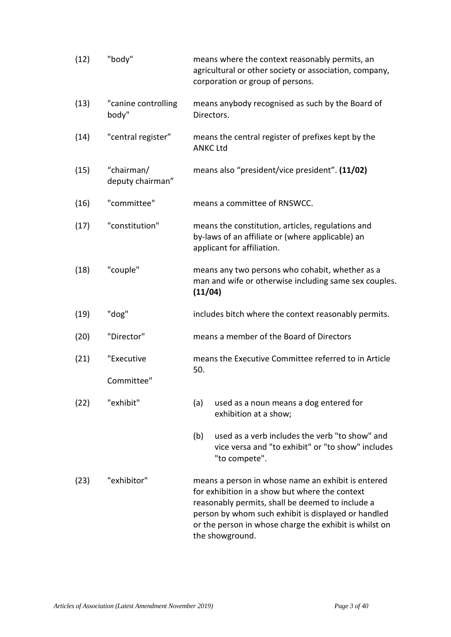| (12) | "body"                         | means where the context reasonably permits, an<br>agricultural or other society or association, company,<br>corporation or group of persons.                                                                                                                                                 |  |
|------|--------------------------------|----------------------------------------------------------------------------------------------------------------------------------------------------------------------------------------------------------------------------------------------------------------------------------------------|--|
| (13) | "canine controlling<br>body"   | means anybody recognised as such by the Board of<br>Directors.                                                                                                                                                                                                                               |  |
| (14) | "central register"             | means the central register of prefixes kept by the<br><b>ANKC Ltd</b>                                                                                                                                                                                                                        |  |
| (15) | "chairman/<br>deputy chairman" | means also "president/vice president". (11/02)                                                                                                                                                                                                                                               |  |
| (16) | "committee"                    | means a committee of RNSWCC.                                                                                                                                                                                                                                                                 |  |
| (17) | "constitution"                 | means the constitution, articles, regulations and<br>by-laws of an affiliate or (where applicable) an<br>applicant for affiliation.                                                                                                                                                          |  |
| (18) | "couple"                       | means any two persons who cohabit, whether as a<br>man and wife or otherwise including same sex couples.<br>(11/04)                                                                                                                                                                          |  |
| (19) | "dog"                          | includes bitch where the context reasonably permits.                                                                                                                                                                                                                                         |  |
| (20) | "Director"                     | means a member of the Board of Directors                                                                                                                                                                                                                                                     |  |
| (21) | "Executive                     | means the Executive Committee referred to in Article<br>50.                                                                                                                                                                                                                                  |  |
|      | Committee"                     |                                                                                                                                                                                                                                                                                              |  |
| (22) | "exhibit"                      | used as a noun means a dog entered for<br>(a)<br>exhibition at a show;                                                                                                                                                                                                                       |  |
|      |                                | used as a verb includes the verb "to show" and<br>(b)<br>vice versa and "to exhibit" or "to show" includes<br>"to compete".                                                                                                                                                                  |  |
| (23) | "exhibitor"                    | means a person in whose name an exhibit is entered<br>for exhibition in a show but where the context<br>reasonably permits, shall be deemed to include a<br>person by whom such exhibit is displayed or handled<br>or the person in whose charge the exhibit is whilst on<br>the showground. |  |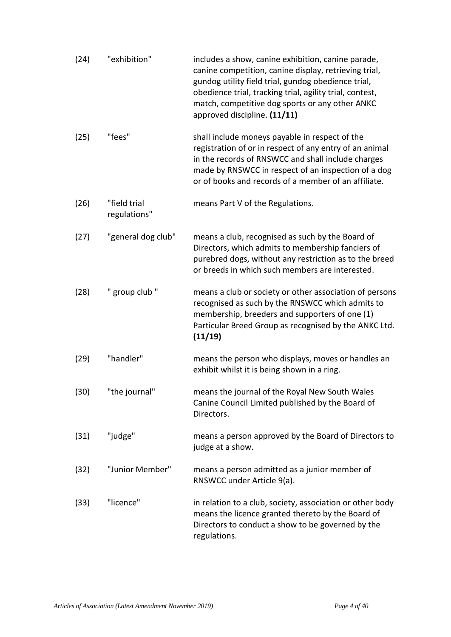| (24) | "exhibition"                 | includes a show, canine exhibition, canine parade,<br>canine competition, canine display, retrieving trial,<br>gundog utility field trial, gundog obedience trial,<br>obedience trial, tracking trial, agility trial, contest,<br>match, competitive dog sports or any other ANKC<br>approved discipline. (11/11) |
|------|------------------------------|-------------------------------------------------------------------------------------------------------------------------------------------------------------------------------------------------------------------------------------------------------------------------------------------------------------------|
| (25) | "fees"                       | shall include moneys payable in respect of the<br>registration of or in respect of any entry of an animal<br>in the records of RNSWCC and shall include charges<br>made by RNSWCC in respect of an inspection of a dog<br>or of books and records of a member of an affiliate.                                    |
| (26) | "field trial<br>regulations" | means Part V of the Regulations.                                                                                                                                                                                                                                                                                  |
| (27) | "general dog club"           | means a club, recognised as such by the Board of<br>Directors, which admits to membership fanciers of<br>purebred dogs, without any restriction as to the breed<br>or breeds in which such members are interested.                                                                                                |
| (28) | " group club "               | means a club or society or other association of persons<br>recognised as such by the RNSWCC which admits to<br>membership, breeders and supporters of one (1)<br>Particular Breed Group as recognised by the ANKC Ltd.<br>(11/19)                                                                                 |
| (29) | "handler"                    | means the person who displays, moves or handles an<br>exhibit whilst it is being shown in a ring.                                                                                                                                                                                                                 |
| (30) | "the journal"                | means the journal of the Royal New South Wales<br>Canine Council Limited published by the Board of<br>Directors.                                                                                                                                                                                                  |
| (31) | "judge"                      | means a person approved by the Board of Directors to<br>judge at a show.                                                                                                                                                                                                                                          |
| (32) | "Junior Member"              | means a person admitted as a junior member of<br>RNSWCC under Article 9(a).                                                                                                                                                                                                                                       |
| (33) | "licence"                    | in relation to a club, society, association or other body<br>means the licence granted thereto by the Board of<br>Directors to conduct a show to be governed by the<br>regulations.                                                                                                                               |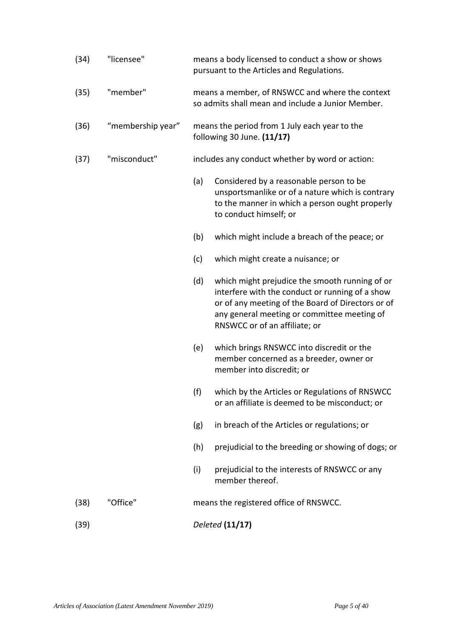| (34) | "licensee"        | means a body licensed to conduct a show or shows<br>pursuant to the Articles and Regulations. |                                                                                                                                                                                                                                        |  |  |
|------|-------------------|-----------------------------------------------------------------------------------------------|----------------------------------------------------------------------------------------------------------------------------------------------------------------------------------------------------------------------------------------|--|--|
| (35) | "member"          |                                                                                               | means a member, of RNSWCC and where the context<br>so admits shall mean and include a Junior Member.                                                                                                                                   |  |  |
| (36) | "membership year" |                                                                                               | means the period from 1 July each year to the<br>following 30 June. (11/17)                                                                                                                                                            |  |  |
| (37) | "misconduct"      | includes any conduct whether by word or action:                                               |                                                                                                                                                                                                                                        |  |  |
|      |                   | (a)                                                                                           | Considered by a reasonable person to be<br>unsportsmanlike or of a nature which is contrary<br>to the manner in which a person ought properly<br>to conduct himself; or                                                                |  |  |
|      |                   | (b)                                                                                           | which might include a breach of the peace; or                                                                                                                                                                                          |  |  |
|      |                   | (c)                                                                                           | which might create a nuisance; or                                                                                                                                                                                                      |  |  |
|      |                   | (d)                                                                                           | which might prejudice the smooth running of or<br>interfere with the conduct or running of a show<br>or of any meeting of the Board of Directors or of<br>any general meeting or committee meeting of<br>RNSWCC or of an affiliate; or |  |  |
|      |                   | (e)                                                                                           | which brings RNSWCC into discredit or the<br>member concerned as a breeder, owner or<br>member into discredit; or                                                                                                                      |  |  |
|      |                   | (f)                                                                                           | which by the Articles or Regulations of RNSWCC<br>or an affiliate is deemed to be misconduct; or                                                                                                                                       |  |  |
|      |                   | (g)                                                                                           | in breach of the Articles or regulations; or                                                                                                                                                                                           |  |  |
|      |                   | (h)                                                                                           | prejudicial to the breeding or showing of dogs; or                                                                                                                                                                                     |  |  |
|      |                   | (i)                                                                                           | prejudicial to the interests of RNSWCC or any<br>member thereof.                                                                                                                                                                       |  |  |
| (38) | "Office"          |                                                                                               | means the registered office of RNSWCC.                                                                                                                                                                                                 |  |  |
| (39) |                   |                                                                                               | Deleted (11/17)                                                                                                                                                                                                                        |  |  |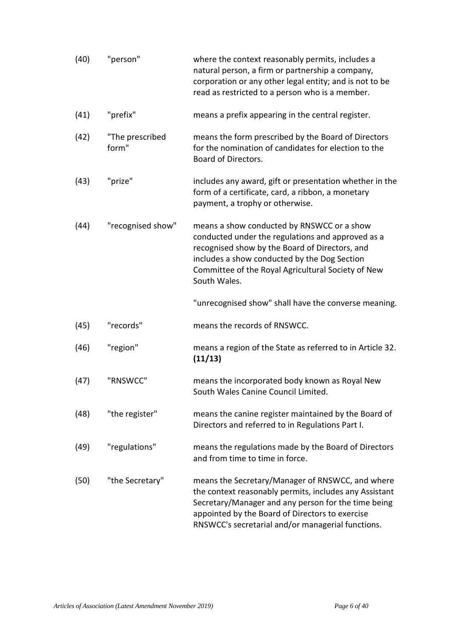| (40) | "person"                 | where the context reasonably permits, includes a<br>natural person, a firm or partnership a company,<br>corporation or any other legal entity; and is not to be<br>read as restricted to a person who is a member.                                                        |
|------|--------------------------|---------------------------------------------------------------------------------------------------------------------------------------------------------------------------------------------------------------------------------------------------------------------------|
| (41) | "prefix"                 | means a prefix appearing in the central register.                                                                                                                                                                                                                         |
| (42) | "The prescribed<br>form" | means the form prescribed by the Board of Directors<br>for the nomination of candidates for election to the<br>Board of Directors.                                                                                                                                        |
| (43) | "prize"                  | includes any award, gift or presentation whether in the<br>form of a certificate, card, a ribbon, a monetary<br>payment, a trophy or otherwise.                                                                                                                           |
| (44) | "recognised show"        | means a show conducted by RNSWCC or a show<br>conducted under the regulations and approved as a<br>recognised show by the Board of Directors, and<br>includes a show conducted by the Dog Section<br>Committee of the Royal Agricultural Society of New<br>South Wales.   |
|      |                          | "unrecognised show" shall have the converse meaning.                                                                                                                                                                                                                      |
| (45) | "records"                | means the records of RNSWCC.                                                                                                                                                                                                                                              |
| (46) | "region"                 | means a region of the State as referred to in Article 32.<br>(11/13)                                                                                                                                                                                                      |
| (47) | "RNSWCC"                 | means the incorporated body known as Royal New<br>South Wales Canine Council Limited.                                                                                                                                                                                     |
| (48) | "the register"           | means the canine register maintained by the Board of<br>Directors and referred to in Regulations Part I.                                                                                                                                                                  |
| (49) | "regulations"            | means the regulations made by the Board of Directors<br>and from time to time in force.                                                                                                                                                                                   |
| (50) | "the Secretary"          | means the Secretary/Manager of RNSWCC, and where<br>the context reasonably permits, includes any Assistant<br>Secretary/Manager and any person for the time being<br>appointed by the Board of Directors to exercise<br>RNSWCC's secretarial and/or managerial functions. |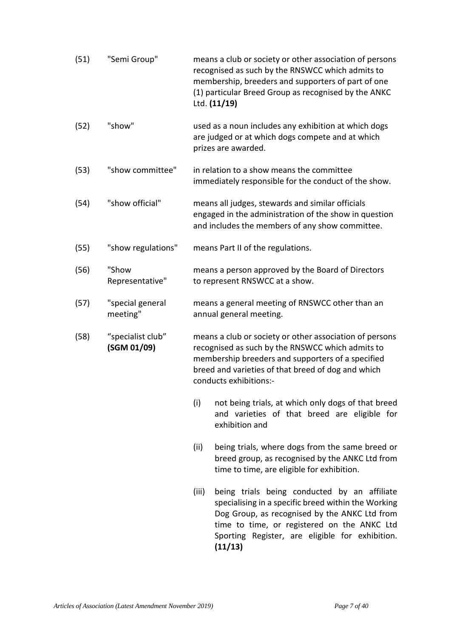| (51) | "Semi Group"                     | means a club or society or other association of persons<br>recognised as such by the RNSWCC which admits to<br>membership, breeders and supporters of part of one<br>(1) particular Breed Group as recognised by the ANKC<br>Ltd. (11/19)        |  |
|------|----------------------------------|--------------------------------------------------------------------------------------------------------------------------------------------------------------------------------------------------------------------------------------------------|--|
| (52) | "show"                           | used as a noun includes any exhibition at which dogs<br>are judged or at which dogs compete and at which<br>prizes are awarded.                                                                                                                  |  |
| (53) | "show committee"                 | in relation to a show means the committee<br>immediately responsible for the conduct of the show.                                                                                                                                                |  |
| (54) | "show official"                  | means all judges, stewards and similar officials<br>engaged in the administration of the show in question<br>and includes the members of any show committee.                                                                                     |  |
| (55) | "show regulations"               | means Part II of the regulations.                                                                                                                                                                                                                |  |
| (56) | "Show<br>Representative"         | means a person approved by the Board of Directors<br>to represent RNSWCC at a show.                                                                                                                                                              |  |
| (57) | "special general<br>meeting"     | means a general meeting of RNSWCC other than an<br>annual general meeting.                                                                                                                                                                       |  |
| (58) | "specialist club"<br>(SGM 01/09) | means a club or society or other association of persons<br>recognised as such by the RNSWCC which admits to<br>membership breeders and supporters of a specified<br>breed and varieties of that breed of dog and which<br>conducts exhibitions:- |  |
|      |                                  | (i)<br>not being trials, at which only dogs of that breed<br>and varieties of that breed are eligible for<br>exhibition and                                                                                                                      |  |
|      |                                  | being trials, where dogs from the same breed or<br>(ii)<br>breed group, as recognised by the ANKC Ltd from<br>time to time, are eligible for exhibition.                                                                                         |  |
|      |                                  | being trials being conducted by an affiliate<br>(iii)<br>specialising in a specific breed within the Working<br>Dog Group, as recognised by the ANKC Ltd from<br>time to time, or registered on the ANKC Ltd                                     |  |

**(11/13)** 

Sporting Register, are eligible for exhibition.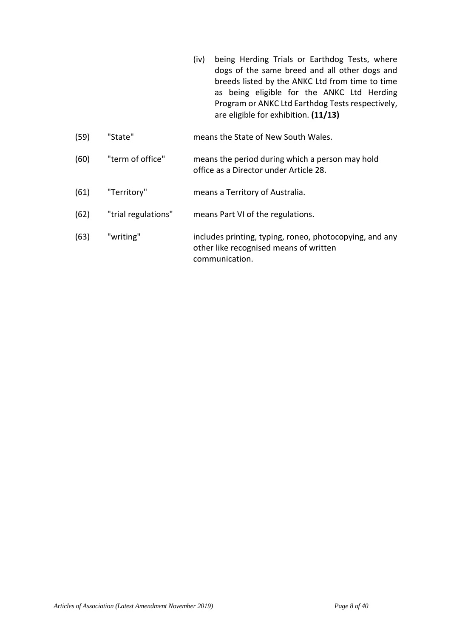- (iv) being Herding Trials or Earthdog Tests, where dogs of the same breed and all other dogs and breeds listed by the ANKC Ltd from time to time as being eligible for the ANKC Ltd Herding Program or ANKC Ltd Earthdog Tests respectively, are eligible for exhibition. **(11/13)**
- (59) "State" means the State of New South Wales.
- (60) "term of office" means the period during which a person may hold office as a Director under Article 28.
- (61) "Territory" means a Territory of Australia.
- (62) "trial regulations" means Part VI of the regulations.
- (63) "writing" includes printing, typing, roneo, photocopying, and any other like recognised means of written communication.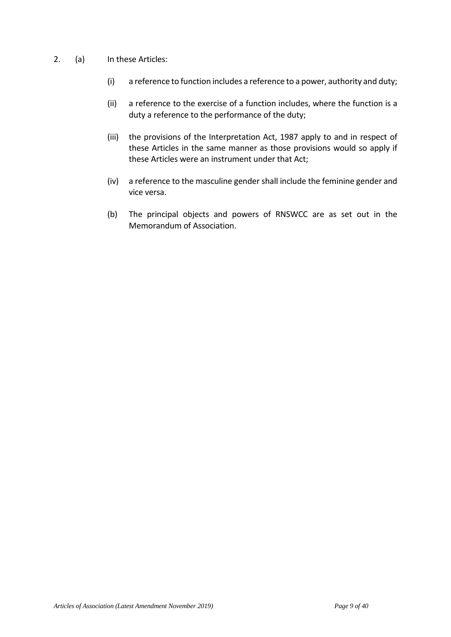- 2. (a) In these Articles:
	- (i) a reference to function includes a reference to a power, authority and duty;
	- (ii) a reference to the exercise of a function includes, where the function is a duty a reference to the performance of the duty;
	- (iii) the provisions of the Interpretation Act, 1987 apply to and in respect of these Articles in the same manner as those provisions would so apply if these Articles were an instrument under that Act;
	- (iv) a reference to the masculine gender shall include the feminine gender and vice versa.
	- (b) The principal objects and powers of RNSWCC are as set out in the Memorandum of Association.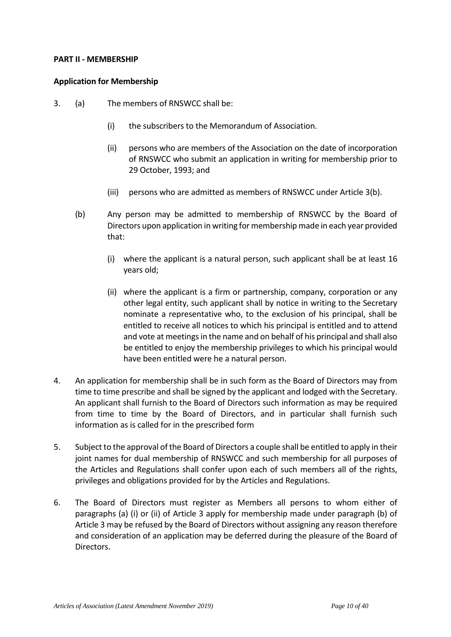### **PART II - MEMBERSHIP**

### **Application for Membership**

- 3. (a) The members of RNSWCC shall be:
	- (i) the subscribers to the Memorandum of Association.
	- (ii) persons who are members of the Association on the date of incorporation of RNSWCC who submit an application in writing for membership prior to 29 October, 1993; and
	- (iii) persons who are admitted as members of RNSWCC under Article 3(b).
	- (b) Any person may be admitted to membership of RNSWCC by the Board of Directors upon application in writing for membership made in each year provided that:
		- (i) where the applicant is a natural person, such applicant shall be at least 16 years old;
		- (ii) where the applicant is a firm or partnership, company, corporation or any other legal entity, such applicant shall by notice in writing to the Secretary nominate a representative who, to the exclusion of his principal, shall be entitled to receive all notices to which his principal is entitled and to attend and vote at meetings in the name and on behalf of his principal and shall also be entitled to enjoy the membership privileges to which his principal would have been entitled were he a natural person.
- 4. An application for membership shall be in such form as the Board of Directors may from time to time prescribe and shall be signed by the applicant and lodged with the Secretary. An applicant shall furnish to the Board of Directors such information as may be required from time to time by the Board of Directors, and in particular shall furnish such information as is called for in the prescribed form
- 5. Subject to the approval of the Board of Directors a couple shall be entitled to apply in their joint names for dual membership of RNSWCC and such membership for all purposes of the Articles and Regulations shall confer upon each of such members all of the rights, privileges and obligations provided for by the Articles and Regulations.
- 6. The Board of Directors must register as Members all persons to whom either of paragraphs (a) (i) or (ii) of Article 3 apply for membership made under paragraph (b) of Article 3 may be refused by the Board of Directors without assigning any reason therefore and consideration of an application may be deferred during the pleasure of the Board of Directors.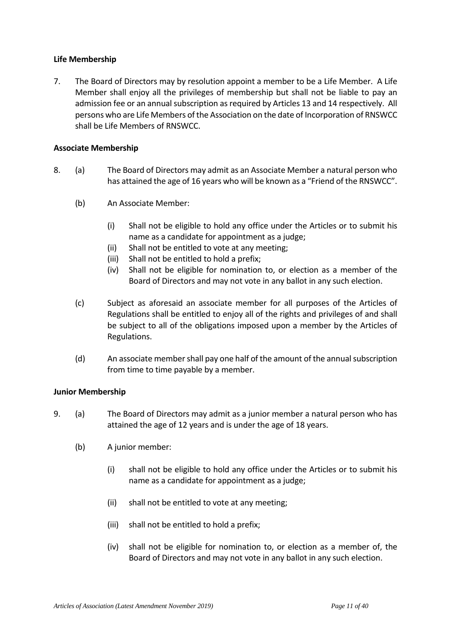## **Life Membership**

7. The Board of Directors may by resolution appoint a member to be a Life Member. A Life Member shall enjoy all the privileges of membership but shall not be liable to pay an admission fee or an annual subscription as required by Articles 13 and 14 respectively. All persons who are Life Members of the Association on the date of Incorporation of RNSWCC shall be Life Members of RNSWCC.

## **Associate Membership**

- 8. (a) The Board of Directors may admit as an Associate Member a natural person who has attained the age of 16 years who will be known as a "Friend of the RNSWCC".
	- (b) An Associate Member:
		- (i) Shall not be eligible to hold any office under the Articles or to submit his name as a candidate for appointment as a judge;
		- (ii) Shall not be entitled to vote at any meeting;
		- (iii) Shall not be entitled to hold a prefix;
		- (iv) Shall not be eligible for nomination to, or election as a member of the Board of Directors and may not vote in any ballot in any such election.
	- (c) Subject as aforesaid an associate member for all purposes of the Articles of Regulations shall be entitled to enjoy all of the rights and privileges of and shall be subject to all of the obligations imposed upon a member by the Articles of Regulations.
	- (d) An associate member shall pay one half of the amount of the annual subscription from time to time payable by a member.

## **Junior Membership**

- 9. (a) The Board of Directors may admit as a junior member a natural person who has attained the age of 12 years and is under the age of 18 years.
	- (b) A junior member:
		- (i) shall not be eligible to hold any office under the Articles or to submit his name as a candidate for appointment as a judge;
		- (ii) shall not be entitled to vote at any meeting;
		- (iii) shall not be entitled to hold a prefix;
		- (iv) shall not be eligible for nomination to, or election as a member of, the Board of Directors and may not vote in any ballot in any such election.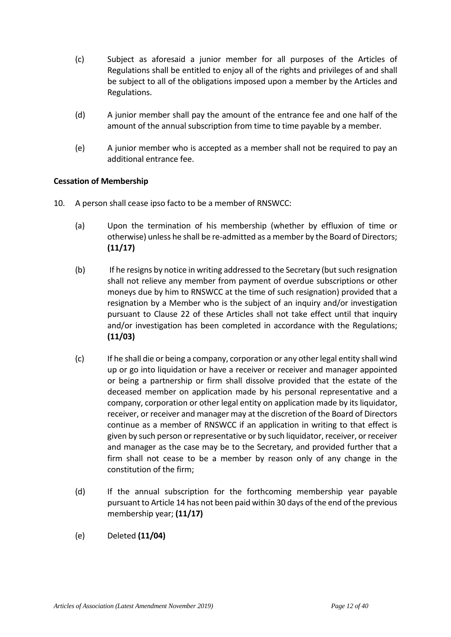- (c) Subject as aforesaid a junior member for all purposes of the Articles of Regulations shall be entitled to enjoy all of the rights and privileges of and shall be subject to all of the obligations imposed upon a member by the Articles and Regulations.
- (d) A junior member shall pay the amount of the entrance fee and one half of the amount of the annual subscription from time to time payable by a member.
- (e) A junior member who is accepted as a member shall not be required to pay an additional entrance fee.

# **Cessation of Membership**

- 10. A person shall cease ipso facto to be a member of RNSWCC:
	- (a) Upon the termination of his membership (whether by effluxion of time or otherwise) unless he shall be re-admitted as a member by the Board of Directors; **(11/17)**
	- (b) If he resigns by notice in writing addressed to the Secretary (but such resignation shall not relieve any member from payment of overdue subscriptions or other moneys due by him to RNSWCC at the time of such resignation) provided that a resignation by a Member who is the subject of an inquiry and/or investigation pursuant to Clause 22 of these Articles shall not take effect until that inquiry and/or investigation has been completed in accordance with the Regulations; **(11/03)**
	- (c) If he shall die or being a company, corporation or any other legal entity shall wind up or go into liquidation or have a receiver or receiver and manager appointed or being a partnership or firm shall dissolve provided that the estate of the deceased member on application made by his personal representative and a company, corporation or other legal entity on application made by its liquidator, receiver, or receiver and manager may at the discretion of the Board of Directors continue as a member of RNSWCC if an application in writing to that effect is given by such person or representative or by such liquidator, receiver, or receiver and manager as the case may be to the Secretary, and provided further that a firm shall not cease to be a member by reason only of any change in the constitution of the firm;
	- (d) If the annual subscription for the forthcoming membership year payable pursuant to Article 14 has not been paid within 30 days of the end of the previous membership year; **(11/17)**
	- (e) Deleted **(11/04)**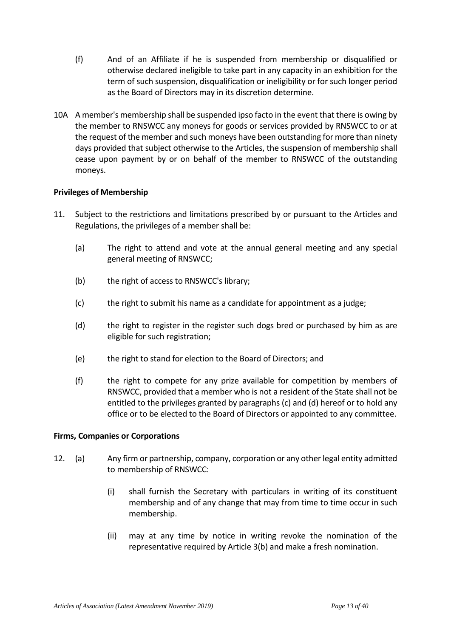- (f) And of an Affiliate if he is suspended from membership or disqualified or otherwise declared ineligible to take part in any capacity in an exhibition for the term of such suspension, disqualification or ineligibility or for such longer period as the Board of Directors may in its discretion determine.
- 10A A member's membership shall be suspended ipso facto in the event that there is owing by the member to RNSWCC any moneys for goods or services provided by RNSWCC to or at the request of the member and such moneys have been outstanding for more than ninety days provided that subject otherwise to the Articles, the suspension of membership shall cease upon payment by or on behalf of the member to RNSWCC of the outstanding moneys.

## **Privileges of Membership**

- 11. Subject to the restrictions and limitations prescribed by or pursuant to the Articles and Regulations, the privileges of a member shall be:
	- (a) The right to attend and vote at the annual general meeting and any special general meeting of RNSWCC;
	- (b) the right of access to RNSWCC's library;
	- (c) the right to submit his name as a candidate for appointment as a judge;
	- (d) the right to register in the register such dogs bred or purchased by him as are eligible for such registration;
	- (e) the right to stand for election to the Board of Directors; and
	- (f) the right to compete for any prize available for competition by members of RNSWCC, provided that a member who is not a resident of the State shall not be entitled to the privileges granted by paragraphs (c) and (d) hereof or to hold any office or to be elected to the Board of Directors or appointed to any committee.

## **Firms, Companies or Corporations**

- 12. (a) Any firm or partnership, company, corporation or any other legal entity admitted to membership of RNSWCC:
	- (i) shall furnish the Secretary with particulars in writing of its constituent membership and of any change that may from time to time occur in such membership.
	- (ii) may at any time by notice in writing revoke the nomination of the representative required by Article 3(b) and make a fresh nomination.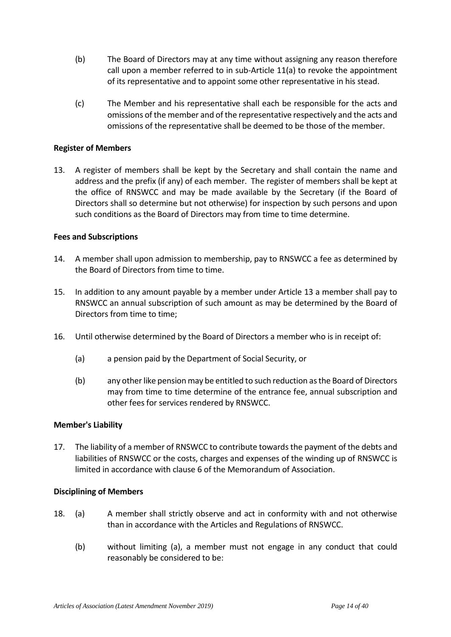- (b) The Board of Directors may at any time without assigning any reason therefore call upon a member referred to in sub-Article 11(a) to revoke the appointment of its representative and to appoint some other representative in his stead.
- (c) The Member and his representative shall each be responsible for the acts and omissions of the member and of the representative respectively and the acts and omissions of the representative shall be deemed to be those of the member.

## **Register of Members**

13. A register of members shall be kept by the Secretary and shall contain the name and address and the prefix (if any) of each member. The register of members shall be kept at the office of RNSWCC and may be made available by the Secretary (if the Board of Directors shall so determine but not otherwise) for inspection by such persons and upon such conditions as the Board of Directors may from time to time determine.

## **Fees and Subscriptions**

- 14. A member shall upon admission to membership, pay to RNSWCC a fee as determined by the Board of Directors from time to time.
- 15. In addition to any amount payable by a member under Article 13 a member shall pay to RNSWCC an annual subscription of such amount as may be determined by the Board of Directors from time to time;
- 16. Until otherwise determined by the Board of Directors a member who is in receipt of:
	- (a) a pension paid by the Department of Social Security, or
	- (b) any other like pension may be entitled to such reduction as the Board of Directors may from time to time determine of the entrance fee, annual subscription and other fees for services rendered by RNSWCC.

## **Member's Liability**

17. The liability of a member of RNSWCC to contribute towards the payment of the debts and liabilities of RNSWCC or the costs, charges and expenses of the winding up of RNSWCC is limited in accordance with clause 6 of the Memorandum of Association.

## **Disciplining of Members**

- 18. (a) A member shall strictly observe and act in conformity with and not otherwise than in accordance with the Articles and Regulations of RNSWCC.
	- (b) without limiting (a), a member must not engage in any conduct that could reasonably be considered to be: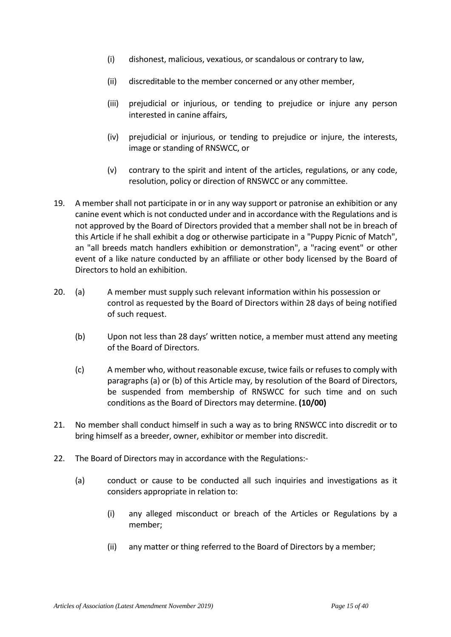- (i) dishonest, malicious, vexatious, or scandalous or contrary to law,
- (ii) discreditable to the member concerned or any other member,
- (iii) prejudicial or injurious, or tending to prejudice or injure any person interested in canine affairs,
- (iv) prejudicial or injurious, or tending to prejudice or injure, the interests, image or standing of RNSWCC, or
- (v) contrary to the spirit and intent of the articles, regulations, or any code, resolution, policy or direction of RNSWCC or any committee.
- 19. A member shall not participate in or in any way support or patronise an exhibition or any canine event which is not conducted under and in accordance with the Regulations and is not approved by the Board of Directors provided that a member shall not be in breach of this Article if he shall exhibit a dog or otherwise participate in a "Puppy Picnic of Match", an "all breeds match handlers exhibition or demonstration", a "racing event" or other event of a like nature conducted by an affiliate or other body licensed by the Board of Directors to hold an exhibition.
- 20. (a) A member must supply such relevant information within his possession or control as requested by the Board of Directors within 28 days of being notified of such request.
	- (b) Upon not less than 28 days' written notice, a member must attend any meeting of the Board of Directors.
	- (c) A member who, without reasonable excuse, twice fails or refuses to comply with paragraphs (a) or (b) of this Article may, by resolution of the Board of Directors, be suspended from membership of RNSWCC for such time and on such conditions as the Board of Directors may determine. **(10/00)**
- 21. No member shall conduct himself in such a way as to bring RNSWCC into discredit or to bring himself as a breeder, owner, exhibitor or member into discredit.
- 22. The Board of Directors may in accordance with the Regulations:-
	- (a) conduct or cause to be conducted all such inquiries and investigations as it considers appropriate in relation to:
		- (i) any alleged misconduct or breach of the Articles or Regulations by a member;
		- (ii) any matter or thing referred to the Board of Directors by a member;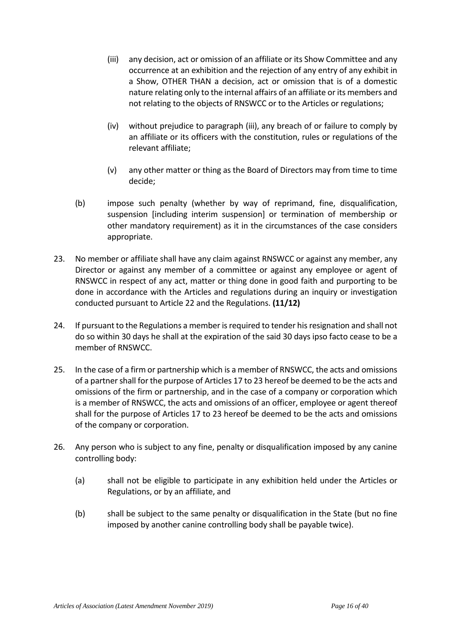- (iii) any decision, act or omission of an affiliate or its Show Committee and any occurrence at an exhibition and the rejection of any entry of any exhibit in a Show, OTHER THAN a decision, act or omission that is of a domestic nature relating only to the internal affairs of an affiliate or its members and not relating to the objects of RNSWCC or to the Articles or regulations;
- (iv) without prejudice to paragraph (iii), any breach of or failure to comply by an affiliate or its officers with the constitution, rules or regulations of the relevant affiliate;
- (v) any other matter or thing as the Board of Directors may from time to time decide;
- (b) impose such penalty (whether by way of reprimand, fine, disqualification, suspension [including interim suspension] or termination of membership or other mandatory requirement) as it in the circumstances of the case considers appropriate.
- 23. No member or affiliate shall have any claim against RNSWCC or against any member, any Director or against any member of a committee or against any employee or agent of RNSWCC in respect of any act, matter or thing done in good faith and purporting to be done in accordance with the Articles and regulations during an inquiry or investigation conducted pursuant to Article 22 and the Regulations. **(11/12)**
- 24. If pursuant to the Regulations a member is required to tender his resignation and shall not do so within 30 days he shall at the expiration of the said 30 days ipso facto cease to be a member of RNSWCC.
- 25. In the case of a firm or partnership which is a member of RNSWCC, the acts and omissions of a partner shall for the purpose of Articles 17 to 23 hereof be deemed to be the acts and omissions of the firm or partnership, and in the case of a company or corporation which is a member of RNSWCC, the acts and omissions of an officer, employee or agent thereof shall for the purpose of Articles 17 to 23 hereof be deemed to be the acts and omissions of the company or corporation.
- 26. Any person who is subject to any fine, penalty or disqualification imposed by any canine controlling body:
	- (a) shall not be eligible to participate in any exhibition held under the Articles or Regulations, or by an affiliate, and
	- (b) shall be subject to the same penalty or disqualification in the State (but no fine imposed by another canine controlling body shall be payable twice).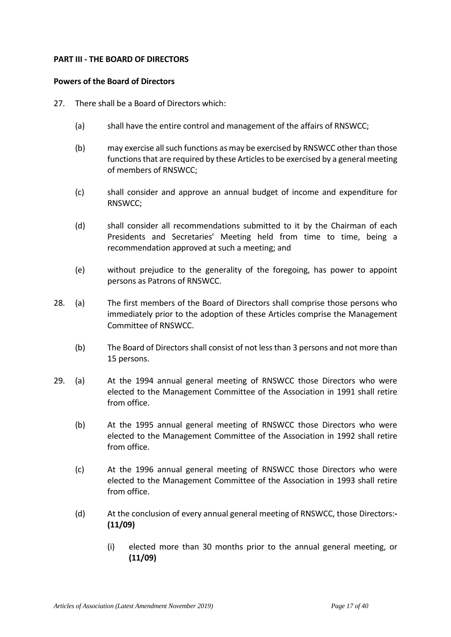### **PART III - THE BOARD OF DIRECTORS**

### **Powers of the Board of Directors**

- 27. There shall be a Board of Directors which:
	- (a) shall have the entire control and management of the affairs of RNSWCC;
	- (b) may exercise all such functions as may be exercised by RNSWCC other than those functions that are required by these Articles to be exercised by a general meeting of members of RNSWCC;
	- (c) shall consider and approve an annual budget of income and expenditure for RNSWCC;
	- (d) shall consider all recommendations submitted to it by the Chairman of each Presidents and Secretaries' Meeting held from time to time, being a recommendation approved at such a meeting; and
	- (e) without prejudice to the generality of the foregoing, has power to appoint persons as Patrons of RNSWCC.
- 28. (a) The first members of the Board of Directors shall comprise those persons who immediately prior to the adoption of these Articles comprise the Management Committee of RNSWCC.
	- (b) The Board of Directors shall consist of not less than 3 persons and not more than 15 persons.
- 29. (a) At the 1994 annual general meeting of RNSWCC those Directors who were elected to the Management Committee of the Association in 1991 shall retire from office.
	- (b) At the 1995 annual general meeting of RNSWCC those Directors who were elected to the Management Committee of the Association in 1992 shall retire from office.
	- (c) At the 1996 annual general meeting of RNSWCC those Directors who were elected to the Management Committee of the Association in 1993 shall retire from office.
	- (d) At the conclusion of every annual general meeting of RNSWCC, those Directors:**- (11/09)**
		- (i) elected more than 30 months prior to the annual general meeting, or **(11/09)**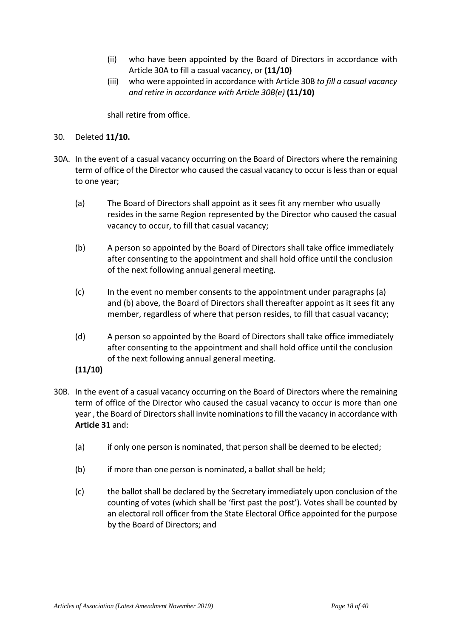- (ii) who have been appointed by the Board of Directors in accordance with Article 30A to fill a casual vacancy, or **(11/10)**
- (iii) who were appointed in accordance with Article 30B *to fill a casual vacancy and retire in accordance with Article 30B(e)* **(11/10)**

shall retire from office.

## 30. Deleted **11/10.**

- 30A. In the event of a casual vacancy occurring on the Board of Directors where the remaining term of office of the Director who caused the casual vacancy to occur is less than or equal to one year;
	- (a) The Board of Directors shall appoint as it sees fit any member who usually resides in the same Region represented by the Director who caused the casual vacancy to occur, to fill that casual vacancy;
	- (b) A person so appointed by the Board of Directors shall take office immediately after consenting to the appointment and shall hold office until the conclusion of the next following annual general meeting.
	- (c) In the event no member consents to the appointment under paragraphs (a) and (b) above, the Board of Directors shall thereafter appoint as it sees fit any member, regardless of where that person resides, to fill that casual vacancy;
	- (d) A person so appointed by the Board of Directors shall take office immediately after consenting to the appointment and shall hold office until the conclusion of the next following annual general meeting.
	- **(11/10)**
- 30B. In the event of a casual vacancy occurring on the Board of Directors where the remaining term of office of the Director who caused the casual vacancy to occur is more than one year , the Board of Directors shall invite nominations to fill the vacancy in accordance with **Article 31** and:
	- (a) if only one person is nominated, that person shall be deemed to be elected;
	- (b) if more than one person is nominated, a ballot shall be held;
	- (c) the ballot shall be declared by the Secretary immediately upon conclusion of the counting of votes (which shall be 'first past the post'). Votes shall be counted by an electoral roll officer from the State Electoral Office appointed for the purpose by the Board of Directors; and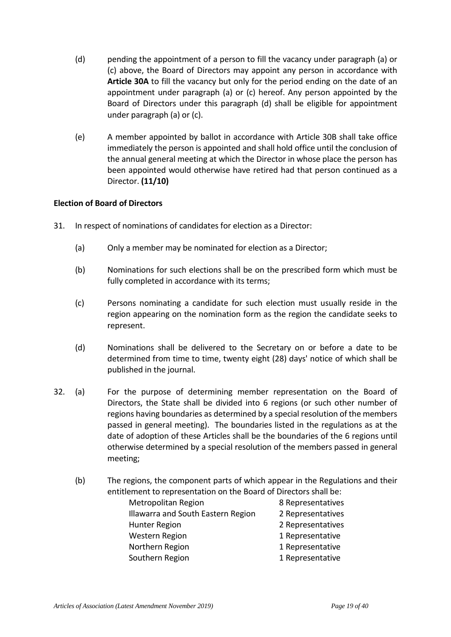- (d) pending the appointment of a person to fill the vacancy under paragraph (a) or (c) above, the Board of Directors may appoint any person in accordance with **Article 30A** to fill the vacancy but only for the period ending on the date of an appointment under paragraph (a) or (c) hereof. Any person appointed by the Board of Directors under this paragraph (d) shall be eligible for appointment under paragraph (a) or (c).
- (e) A member appointed by ballot in accordance with Article 30B shall take office immediately the person is appointed and shall hold office until the conclusion of the annual general meeting at which the Director in whose place the person has been appointed would otherwise have retired had that person continued as a Director. **(11/10)**

# **Election of Board of Directors**

- 31. In respect of nominations of candidates for election as a Director:
	- (a) Only a member may be nominated for election as a Director;
	- (b) Nominations for such elections shall be on the prescribed form which must be fully completed in accordance with its terms;
	- (c) Persons nominating a candidate for such election must usually reside in the region appearing on the nomination form as the region the candidate seeks to represent.
	- (d) Nominations shall be delivered to the Secretary on or before a date to be determined from time to time, twenty eight (28) days' notice of which shall be published in the journal.
- 32. (a) For the purpose of determining member representation on the Board of Directors, the State shall be divided into 6 regions (or such other number of regions having boundaries as determined by a special resolution of the members passed in general meeting). The boundaries listed in the regulations as at the date of adoption of these Articles shall be the boundaries of the 6 regions until otherwise determined by a special resolution of the members passed in general meeting;
	- (b) The regions, the component parts of which appear in the Regulations and their entitlement to representation on the Board of Directors shall be:

| Metropolitan Region                | 8 Representatives |
|------------------------------------|-------------------|
| Illawarra and South Eastern Region | 2 Representatives |
| Hunter Region                      | 2 Representatives |
| <b>Western Region</b>              | 1 Representative  |
| Northern Region                    | 1 Representative  |
| Southern Region                    | 1 Representative  |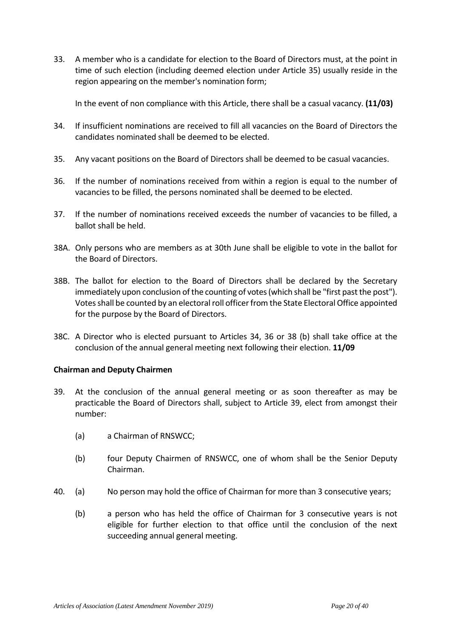33. A member who is a candidate for election to the Board of Directors must, at the point in time of such election (including deemed election under Article 35) usually reside in the region appearing on the member's nomination form;

In the event of non compliance with this Article, there shall be a casual vacancy. **(11/03)** 

- 34. If insufficient nominations are received to fill all vacancies on the Board of Directors the candidates nominated shall be deemed to be elected.
- 35. Any vacant positions on the Board of Directors shall be deemed to be casual vacancies.
- 36. If the number of nominations received from within a region is equal to the number of vacancies to be filled, the persons nominated shall be deemed to be elected.
- 37. If the number of nominations received exceeds the number of vacancies to be filled, a ballot shall be held.
- 38A. Only persons who are members as at 30th June shall be eligible to vote in the ballot for the Board of Directors.
- 38B. The ballot for election to the Board of Directors shall be declared by the Secretary immediately upon conclusion of the counting of votes (which shall be "first past the post"). Votes shall be counted by an electoral roll officer from the State Electoral Office appointed for the purpose by the Board of Directors.
- 38C. A Director who is elected pursuant to Articles 34, 36 or 38 (b) shall take office at the conclusion of the annual general meeting next following their election. **11/09**

## **Chairman and Deputy Chairmen**

- 39. At the conclusion of the annual general meeting or as soon thereafter as may be practicable the Board of Directors shall, subject to Article 39, elect from amongst their number:
	- (a) a Chairman of RNSWCC;
	- (b) four Deputy Chairmen of RNSWCC, one of whom shall be the Senior Deputy Chairman.
- 40. (a) No person may hold the office of Chairman for more than 3 consecutive years;
	- (b) a person who has held the office of Chairman for 3 consecutive years is not eligible for further election to that office until the conclusion of the next succeeding annual general meeting.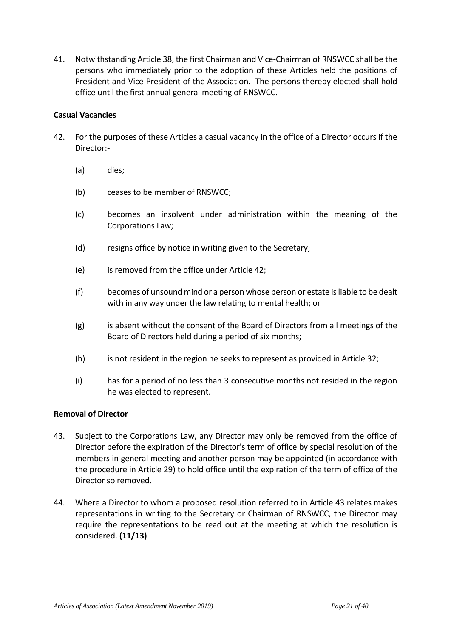41. Notwithstanding Article 38, the first Chairman and Vice-Chairman of RNSWCC shall be the persons who immediately prior to the adoption of these Articles held the positions of President and Vice-President of the Association. The persons thereby elected shall hold office until the first annual general meeting of RNSWCC.

# **Casual Vacancies**

- 42. For the purposes of these Articles a casual vacancy in the office of a Director occurs if the Director:-
	- (a) dies;
	- (b) ceases to be member of RNSWCC;
	- (c) becomes an insolvent under administration within the meaning of the Corporations Law;
	- (d) resigns office by notice in writing given to the Secretary;
	- (e) is removed from the office under Article 42;
	- (f) becomes of unsound mind or a person whose person or estate is liable to be dealt with in any way under the law relating to mental health; or
	- (g) is absent without the consent of the Board of Directors from all meetings of the Board of Directors held during a period of six months;
	- (h) is not resident in the region he seeks to represent as provided in Article 32;
	- (i) has for a period of no less than 3 consecutive months not resided in the region he was elected to represent.

## **Removal of Director**

- 43. Subject to the Corporations Law, any Director may only be removed from the office of Director before the expiration of the Director's term of office by special resolution of the members in general meeting and another person may be appointed (in accordance with the procedure in Article 29) to hold office until the expiration of the term of office of the Director so removed.
- 44. Where a Director to whom a proposed resolution referred to in Article 43 relates makes representations in writing to the Secretary or Chairman of RNSWCC, the Director may require the representations to be read out at the meeting at which the resolution is considered. **(11/13)**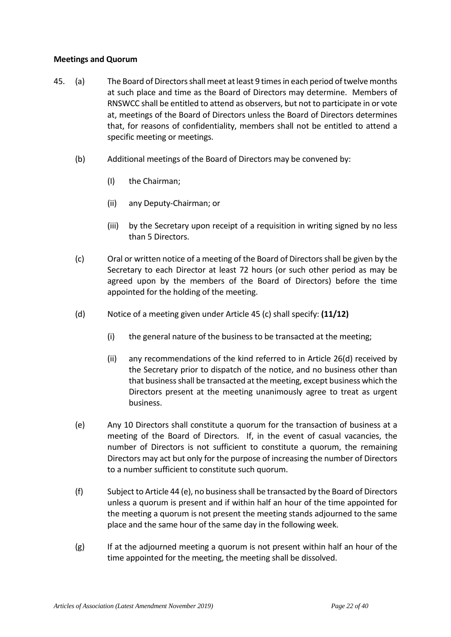## **Meetings and Quorum**

- 45. (a) The Board of Directors shall meet at least 9 times in each period of twelve months at such place and time as the Board of Directors may determine. Members of RNSWCC shall be entitled to attend as observers, but not to participate in or vote at, meetings of the Board of Directors unless the Board of Directors determines that, for reasons of confidentiality, members shall not be entitled to attend a specific meeting or meetings.
	- (b) Additional meetings of the Board of Directors may be convened by:
		- (I) the Chairman;
		- (ii) any Deputy-Chairman; or
		- (iii) by the Secretary upon receipt of a requisition in writing signed by no less than 5 Directors.
	- (c) Oral or written notice of a meeting of the Board of Directors shall be given by the Secretary to each Director at least 72 hours (or such other period as may be agreed upon by the members of the Board of Directors) before the time appointed for the holding of the meeting.
	- (d) Notice of a meeting given under Article 45 (c) shall specify: **(11/12)** 
		- (i) the general nature of the business to be transacted at the meeting;
		- (ii) any recommendations of the kind referred to in Article 26(d) received by the Secretary prior to dispatch of the notice, and no business other than that business shall be transacted at the meeting, except business which the Directors present at the meeting unanimously agree to treat as urgent business.
	- (e) Any 10 Directors shall constitute a quorum for the transaction of business at a meeting of the Board of Directors. If, in the event of casual vacancies, the number of Directors is not sufficient to constitute a quorum, the remaining Directors may act but only for the purpose of increasing the number of Directors to a number sufficient to constitute such quorum.
	- (f) Subject to Article 44 (e), no business shall be transacted by the Board of Directors unless a quorum is present and if within half an hour of the time appointed for the meeting a quorum is not present the meeting stands adjourned to the same place and the same hour of the same day in the following week.
	- $(g)$  If at the adjourned meeting a quorum is not present within half an hour of the time appointed for the meeting, the meeting shall be dissolved.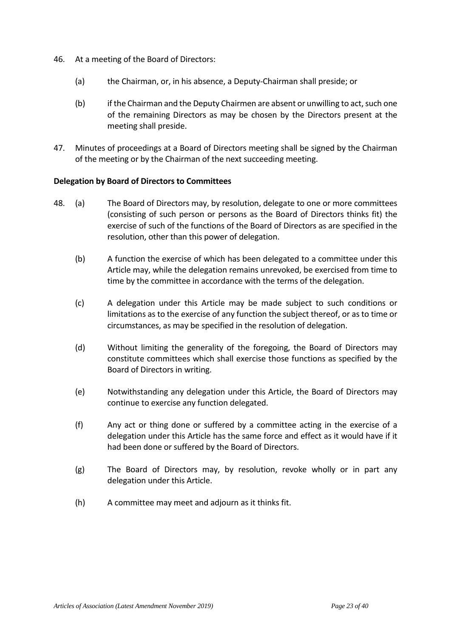- 46. At a meeting of the Board of Directors:
	- (a) the Chairman, or, in his absence, a Deputy-Chairman shall preside; or
	- (b) if the Chairman and the Deputy Chairmen are absent or unwilling to act, such one of the remaining Directors as may be chosen by the Directors present at the meeting shall preside.
- 47. Minutes of proceedings at a Board of Directors meeting shall be signed by the Chairman of the meeting or by the Chairman of the next succeeding meeting.

## **Delegation by Board of Directors to Committees**

- 48. (a) The Board of Directors may, by resolution, delegate to one or more committees (consisting of such person or persons as the Board of Directors thinks fit) the exercise of such of the functions of the Board of Directors as are specified in the resolution, other than this power of delegation.
	- (b) A function the exercise of which has been delegated to a committee under this Article may, while the delegation remains unrevoked, be exercised from time to time by the committee in accordance with the terms of the delegation.
	- (c) A delegation under this Article may be made subject to such conditions or limitations as to the exercise of any function the subject thereof, or as to time or circumstances, as may be specified in the resolution of delegation.
	- (d) Without limiting the generality of the foregoing, the Board of Directors may constitute committees which shall exercise those functions as specified by the Board of Directors in writing.
	- (e) Notwithstanding any delegation under this Article, the Board of Directors may continue to exercise any function delegated.
	- (f) Any act or thing done or suffered by a committee acting in the exercise of a delegation under this Article has the same force and effect as it would have if it had been done or suffered by the Board of Directors.
	- (g) The Board of Directors may, by resolution, revoke wholly or in part any delegation under this Article.
	- (h) A committee may meet and adjourn as it thinks fit.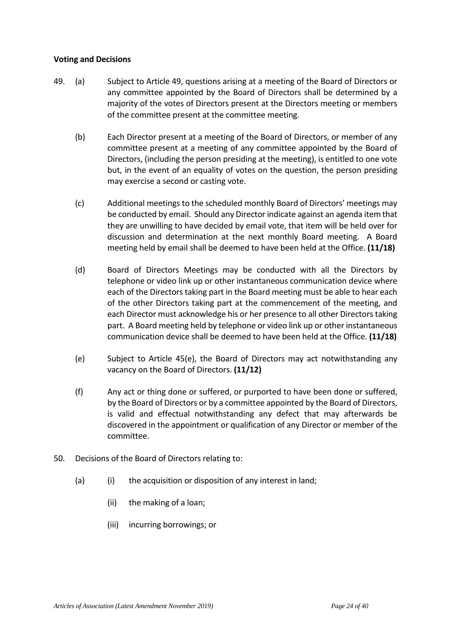## **Voting and Decisions**

- 49. (a) Subject to Article 49, questions arising at a meeting of the Board of Directors or any committee appointed by the Board of Directors shall be determined by a majority of the votes of Directors present at the Directors meeting or members of the committee present at the committee meeting.
	- (b) Each Director present at a meeting of the Board of Directors, or member of any committee present at a meeting of any committee appointed by the Board of Directors, (including the person presiding at the meeting), is entitled to one vote but, in the event of an equality of votes on the question, the person presiding may exercise a second or casting vote.
	- (c) Additional meetings to the scheduled monthly Board of Directors' meetings may be conducted by email. Should any Director indicate against an agenda item that they are unwilling to have decided by email vote, that item will be held over for discussion and determination at the next monthly Board meeting. A Board meeting held by email shall be deemed to have been held at the Office. **(11/18)**
	- (d) Board of Directors Meetings may be conducted with all the Directors by telephone or video link up or other instantaneous communication device where each of the Directors taking part in the Board meeting must be able to hear each of the other Directors taking part at the commencement of the meeting, and each Director must acknowledge his or her presence to all other Directors taking part. A Board meeting held by telephone or video link up or other instantaneous communication device shall be deemed to have been held at the Office. **(11/18)**
	- (e) Subject to Article 45(e), the Board of Directors may act notwithstanding any vacancy on the Board of Directors. **(11/12)**
	- (f) Any act or thing done or suffered, or purported to have been done or suffered, by the Board of Directors or by a committee appointed by the Board of Directors, is valid and effectual notwithstanding any defect that may afterwards be discovered in the appointment or qualification of any Director or member of the committee.
- 50. Decisions of the Board of Directors relating to:
	- (a) (i) the acquisition or disposition of any interest in land;
		- (ii) the making of a loan;
		- (iii) incurring borrowings; or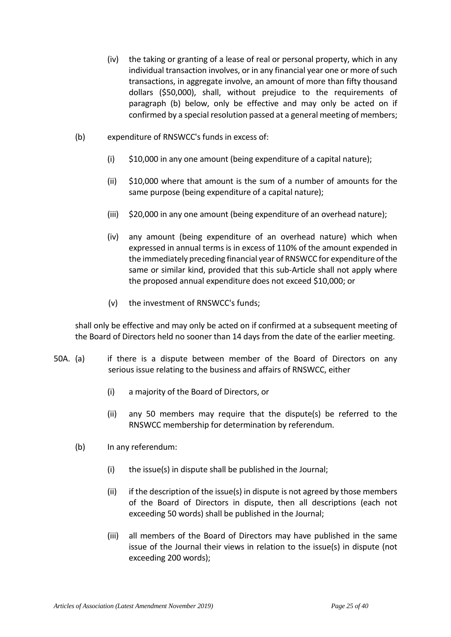- (iv) the taking or granting of a lease of real or personal property, which in any individual transaction involves, or in any financial year one or more of such transactions, in aggregate involve, an amount of more than fifty thousand dollars (\$50,000), shall, without prejudice to the requirements of paragraph (b) below, only be effective and may only be acted on if confirmed by a special resolution passed at a general meeting of members;
- (b) expenditure of RNSWCC's funds in excess of:
	- (i) \$10,000 in any one amount (being expenditure of a capital nature);
	- (ii) \$10,000 where that amount is the sum of a number of amounts for the same purpose (being expenditure of a capital nature);
	- (iii) \$20,000 in any one amount (being expenditure of an overhead nature);
	- (iv) any amount (being expenditure of an overhead nature) which when expressed in annual terms is in excess of 110% of the amount expended in the immediately preceding financial year of RNSWCC for expenditure of the same or similar kind, provided that this sub-Article shall not apply where the proposed annual expenditure does not exceed \$10,000; or
	- (v) the investment of RNSWCC's funds;

shall only be effective and may only be acted on if confirmed at a subsequent meeting of the Board of Directors held no sooner than 14 days from the date of the earlier meeting.

- 50A. (a) if there is a dispute between member of the Board of Directors on any serious issue relating to the business and affairs of RNSWCC, either
	- (i) a majority of the Board of Directors, or
	- (ii) any 50 members may require that the dispute(s) be referred to the RNSWCC membership for determination by referendum.
	- (b) In any referendum:
		- (i) the issue(s) in dispute shall be published in the Journal;
		- (ii) if the description of the issue(s) in dispute is not agreed by those members of the Board of Directors in dispute, then all descriptions (each not exceeding 50 words) shall be published in the Journal;
		- (iii) all members of the Board of Directors may have published in the same issue of the Journal their views in relation to the issue(s) in dispute (not exceeding 200 words);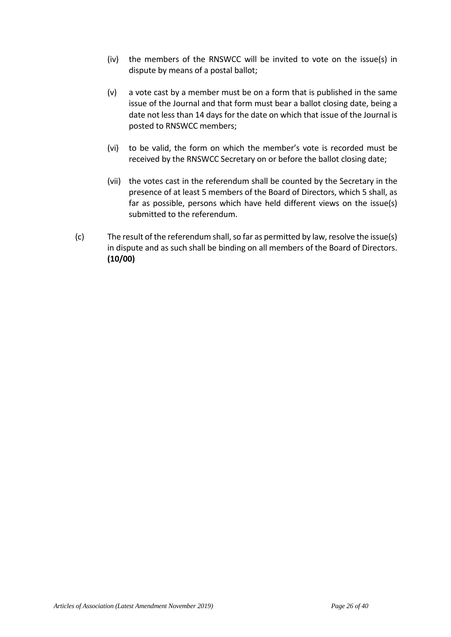- (iv) the members of the RNSWCC will be invited to vote on the issue(s) in dispute by means of a postal ballot;
- (v) a vote cast by a member must be on a form that is published in the same issue of the Journal and that form must bear a ballot closing date, being a date not less than 14 days for the date on which that issue of the Journal is posted to RNSWCC members;
- (vi) to be valid, the form on which the member's vote is recorded must be received by the RNSWCC Secretary on or before the ballot closing date;
- (vii) the votes cast in the referendum shall be counted by the Secretary in the presence of at least 5 members of the Board of Directors, which 5 shall, as far as possible, persons which have held different views on the issue(s) submitted to the referendum.
- (c) The result of the referendum shall, so far as permitted by law, resolve the issue(s) in dispute and as such shall be binding on all members of the Board of Directors. **(10/00)**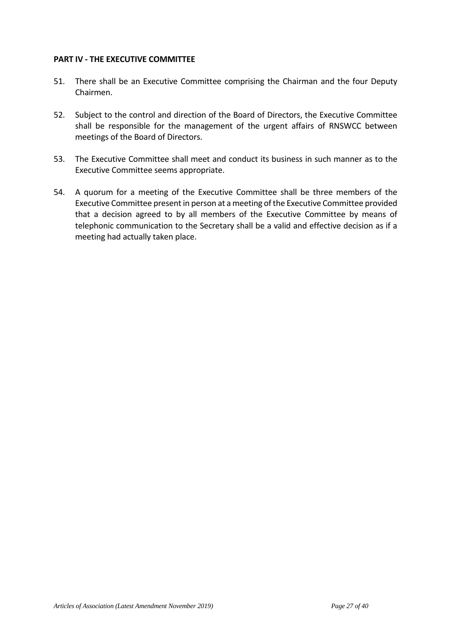### **PART IV - THE EXECUTIVE COMMITTEE**

- 51. There shall be an Executive Committee comprising the Chairman and the four Deputy Chairmen.
- 52. Subject to the control and direction of the Board of Directors, the Executive Committee shall be responsible for the management of the urgent affairs of RNSWCC between meetings of the Board of Directors.
- 53. The Executive Committee shall meet and conduct its business in such manner as to the Executive Committee seems appropriate.
- 54. A quorum for a meeting of the Executive Committee shall be three members of the Executive Committee present in person at a meeting of the Executive Committee provided that a decision agreed to by all members of the Executive Committee by means of telephonic communication to the Secretary shall be a valid and effective decision as if a meeting had actually taken place.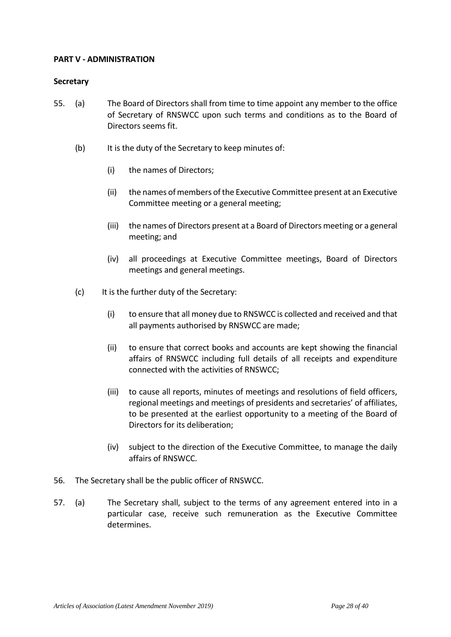## **PART V - ADMINISTRATION**

### **Secretary**

- 55. (a) The Board of Directors shall from time to time appoint any member to the office of Secretary of RNSWCC upon such terms and conditions as to the Board of Directors seems fit.
	- (b) It is the duty of the Secretary to keep minutes of:
		- (i) the names of Directors;
		- (ii) the names of members of the Executive Committee present at an Executive Committee meeting or a general meeting;
		- (iii) the names of Directors present at a Board of Directors meeting or a general meeting; and
		- (iv) all proceedings at Executive Committee meetings, Board of Directors meetings and general meetings.
	- (c) It is the further duty of the Secretary:
		- (i) to ensure that all money due to RNSWCC is collected and received and that all payments authorised by RNSWCC are made;
		- (ii) to ensure that correct books and accounts are kept showing the financial affairs of RNSWCC including full details of all receipts and expenditure connected with the activities of RNSWCC;
		- (iii) to cause all reports, minutes of meetings and resolutions of field officers, regional meetings and meetings of presidents and secretaries' of affiliates, to be presented at the earliest opportunity to a meeting of the Board of Directors for its deliberation;
		- (iv) subject to the direction of the Executive Committee, to manage the daily affairs of RNSWCC.
- 56. The Secretary shall be the public officer of RNSWCC.
- 57. (a) The Secretary shall, subject to the terms of any agreement entered into in a particular case, receive such remuneration as the Executive Committee determines.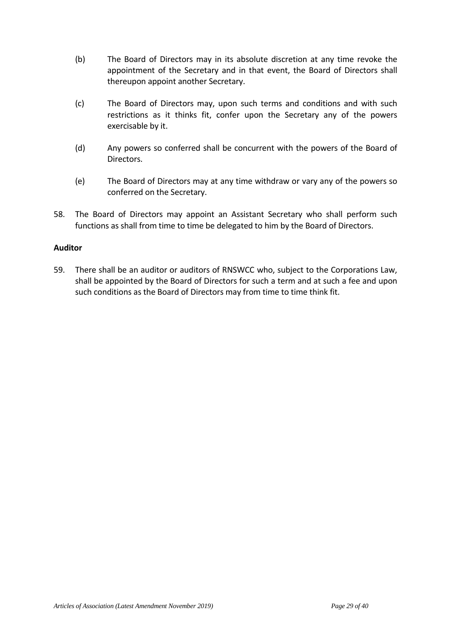- (b) The Board of Directors may in its absolute discretion at any time revoke the appointment of the Secretary and in that event, the Board of Directors shall thereupon appoint another Secretary.
- (c) The Board of Directors may, upon such terms and conditions and with such restrictions as it thinks fit, confer upon the Secretary any of the powers exercisable by it.
- (d) Any powers so conferred shall be concurrent with the powers of the Board of Directors.
- (e) The Board of Directors may at any time withdraw or vary any of the powers so conferred on the Secretary.
- 58. The Board of Directors may appoint an Assistant Secretary who shall perform such functions as shall from time to time be delegated to him by the Board of Directors.

## **Auditor**

59. There shall be an auditor or auditors of RNSWCC who, subject to the Corporations Law, shall be appointed by the Board of Directors for such a term and at such a fee and upon such conditions as the Board of Directors may from time to time think fit.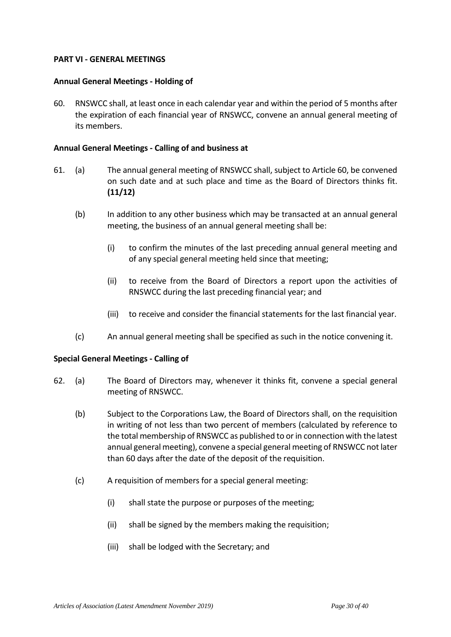### **PART VI - GENERAL MEETINGS**

### **Annual General Meetings - Holding of**

60. RNSWCC shall, at least once in each calendar year and within the period of 5 months after the expiration of each financial year of RNSWCC, convene an annual general meeting of its members.

### **Annual General Meetings - Calling of and business at**

- 61. (a) The annual general meeting of RNSWCC shall, subject to Article 60, be convened on such date and at such place and time as the Board of Directors thinks fit. **(11/12)** 
	- (b) In addition to any other business which may be transacted at an annual general meeting, the business of an annual general meeting shall be:
		- (i) to confirm the minutes of the last preceding annual general meeting and of any special general meeting held since that meeting;
		- (ii) to receive from the Board of Directors a report upon the activities of RNSWCC during the last preceding financial year; and
		- (iii) to receive and consider the financial statements for the last financial year.
	- (c) An annual general meeting shall be specified as such in the notice convening it.

#### **Special General Meetings - Calling of**

- 62. (a) The Board of Directors may, whenever it thinks fit, convene a special general meeting of RNSWCC.
	- (b) Subject to the Corporations Law, the Board of Directors shall, on the requisition in writing of not less than two percent of members (calculated by reference to the total membership of RNSWCC as published to or in connection with the latest annual general meeting), convene a special general meeting of RNSWCC not later than 60 days after the date of the deposit of the requisition.
	- (c) A requisition of members for a special general meeting:
		- (i) shall state the purpose or purposes of the meeting;
		- (ii) shall be signed by the members making the requisition;
		- (iii) shall be lodged with the Secretary; and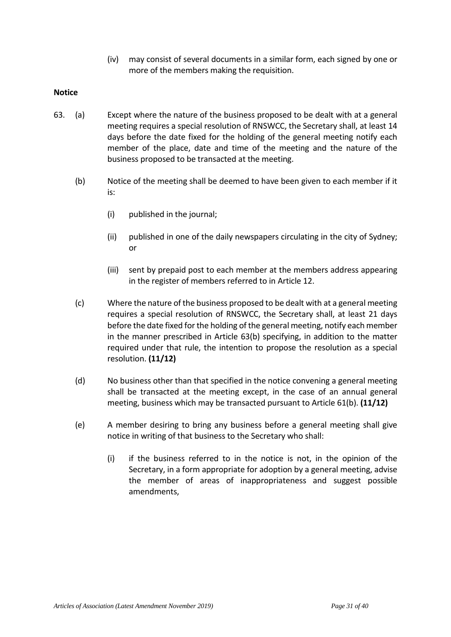(iv) may consist of several documents in a similar form, each signed by one or more of the members making the requisition.

## **Notice**

- 63. (a) Except where the nature of the business proposed to be dealt with at a general meeting requires a special resolution of RNSWCC, the Secretary shall, at least 14 days before the date fixed for the holding of the general meeting notify each member of the place, date and time of the meeting and the nature of the business proposed to be transacted at the meeting.
	- (b) Notice of the meeting shall be deemed to have been given to each member if it is:
		- (i) published in the journal;
		- (ii) published in one of the daily newspapers circulating in the city of Sydney; or
		- (iii) sent by prepaid post to each member at the members address appearing in the register of members referred to in Article 12.
	- (c) Where the nature of the business proposed to be dealt with at a general meeting requires a special resolution of RNSWCC, the Secretary shall, at least 21 days before the date fixed for the holding of the general meeting, notify each member in the manner prescribed in Article 63(b) specifying, in addition to the matter required under that rule, the intention to propose the resolution as a special resolution. **(11/12)**
	- (d) No business other than that specified in the notice convening a general meeting shall be transacted at the meeting except, in the case of an annual general meeting, business which may be transacted pursuant to Article 61(b). **(11/12)**
	- (e) A member desiring to bring any business before a general meeting shall give notice in writing of that business to the Secretary who shall:
		- (i) if the business referred to in the notice is not, in the opinion of the Secretary, in a form appropriate for adoption by a general meeting, advise the member of areas of inappropriateness and suggest possible amendments,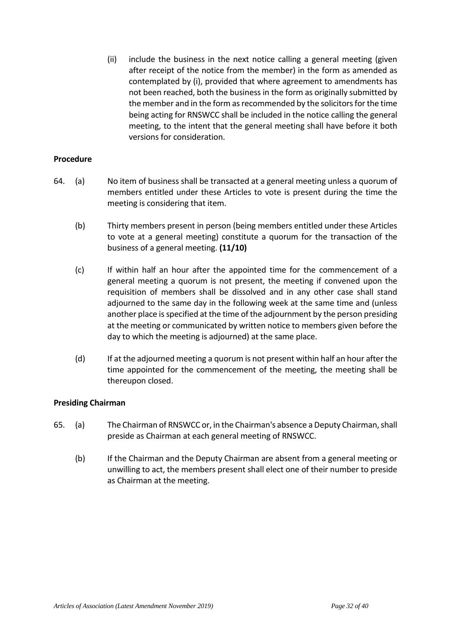(ii) include the business in the next notice calling a general meeting (given after receipt of the notice from the member) in the form as amended as contemplated by (i), provided that where agreement to amendments has not been reached, both the business in the form as originally submitted by the member and in the form as recommended by the solicitors for the time being acting for RNSWCC shall be included in the notice calling the general meeting, to the intent that the general meeting shall have before it both versions for consideration.

## **Procedure**

- 64. (a) No item of business shall be transacted at a general meeting unless a quorum of members entitled under these Articles to vote is present during the time the meeting is considering that item.
	- (b) Thirty members present in person (being members entitled under these Articles to vote at a general meeting) constitute a quorum for the transaction of the business of a general meeting. **(11/10)**
	- (c) If within half an hour after the appointed time for the commencement of a general meeting a quorum is not present, the meeting if convened upon the requisition of members shall be dissolved and in any other case shall stand adjourned to the same day in the following week at the same time and (unless another place is specified at the time of the adjournment by the person presiding at the meeting or communicated by written notice to members given before the day to which the meeting is adjourned) at the same place.
	- (d) If at the adjourned meeting a quorum is not present within half an hour after the time appointed for the commencement of the meeting, the meeting shall be thereupon closed.

## **Presiding Chairman**

- 65. (a) The Chairman of RNSWCC or, in the Chairman's absence a Deputy Chairman, shall preside as Chairman at each general meeting of RNSWCC.
	- (b) If the Chairman and the Deputy Chairman are absent from a general meeting or unwilling to act, the members present shall elect one of their number to preside as Chairman at the meeting.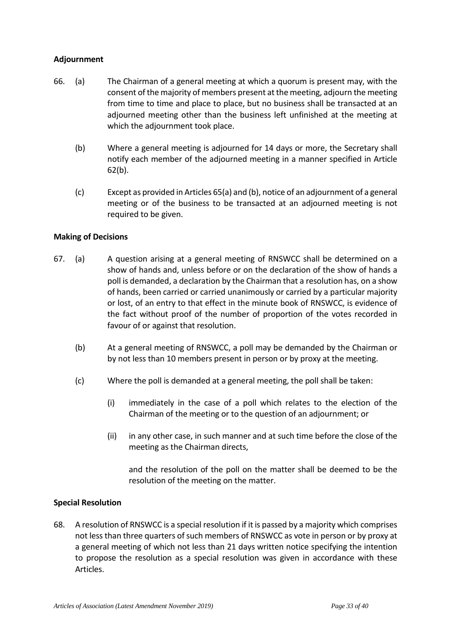# **Adjournment**

- 66. (a) The Chairman of a general meeting at which a quorum is present may, with the consent of the majority of members present at the meeting, adjourn the meeting from time to time and place to place, but no business shall be transacted at an adjourned meeting other than the business left unfinished at the meeting at which the adjournment took place.
	- (b) Where a general meeting is adjourned for 14 days or more, the Secretary shall notify each member of the adjourned meeting in a manner specified in Article 62(b).
	- (c) Except as provided in Articles 65(a) and (b), notice of an adjournment of a general meeting or of the business to be transacted at an adjourned meeting is not required to be given.

## **Making of Decisions**

- 67. (a) A question arising at a general meeting of RNSWCC shall be determined on a show of hands and, unless before or on the declaration of the show of hands a poll is demanded, a declaration by the Chairman that a resolution has, on a show of hands, been carried or carried unanimously or carried by a particular majority or lost, of an entry to that effect in the minute book of RNSWCC, is evidence of the fact without proof of the number of proportion of the votes recorded in favour of or against that resolution.
	- (b) At a general meeting of RNSWCC, a poll may be demanded by the Chairman or by not less than 10 members present in person or by proxy at the meeting.
	- (c) Where the poll is demanded at a general meeting, the poll shall be taken:
		- (i) immediately in the case of a poll which relates to the election of the Chairman of the meeting or to the question of an adjournment; or
		- (ii) in any other case, in such manner and at such time before the close of the meeting as the Chairman directs,

 and the resolution of the poll on the matter shall be deemed to be the resolution of the meeting on the matter.

## **Special Resolution**

68. A resolution of RNSWCC is a special resolution if it is passed by a majority which comprises not less than three quarters of such members of RNSWCC as vote in person or by proxy at a general meeting of which not less than 21 days written notice specifying the intention to propose the resolution as a special resolution was given in accordance with these Articles.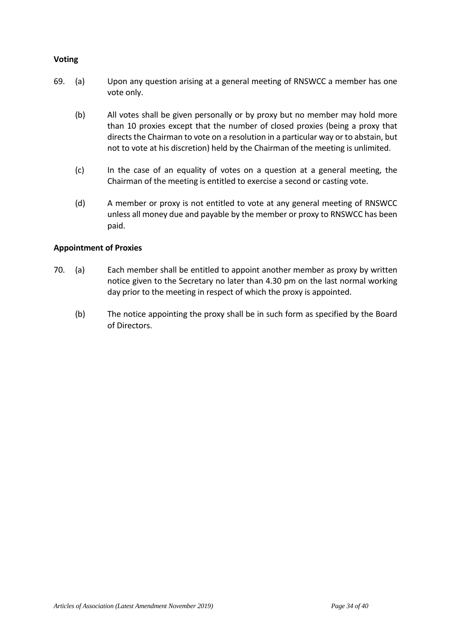## **Voting**

- 69. (a) Upon any question arising at a general meeting of RNSWCC a member has one vote only.
	- (b) All votes shall be given personally or by proxy but no member may hold more than 10 proxies except that the number of closed proxies (being a proxy that directs the Chairman to vote on a resolution in a particular way or to abstain, but not to vote at his discretion) held by the Chairman of the meeting is unlimited.
	- (c) In the case of an equality of votes on a question at a general meeting, the Chairman of the meeting is entitled to exercise a second or casting vote.
	- (d) A member or proxy is not entitled to vote at any general meeting of RNSWCC unless all money due and payable by the member or proxy to RNSWCC has been paid.

# **Appointment of Proxies**

- 70. (a) Each member shall be entitled to appoint another member as proxy by written notice given to the Secretary no later than 4.30 pm on the last normal working day prior to the meeting in respect of which the proxy is appointed.
	- (b) The notice appointing the proxy shall be in such form as specified by the Board of Directors.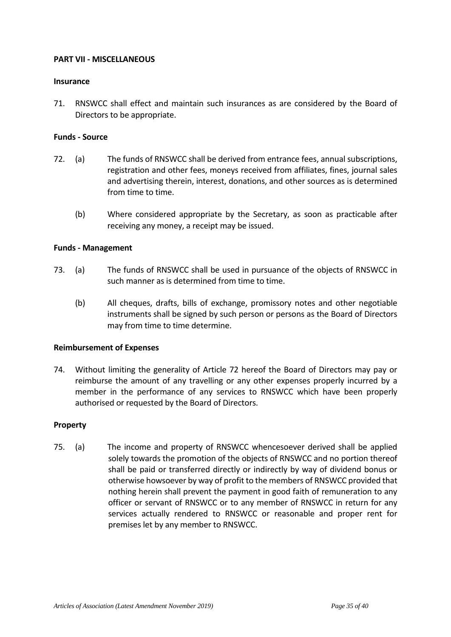### **PART VII - MISCELLANEOUS**

#### **Insurance**

71. RNSWCC shall effect and maintain such insurances as are considered by the Board of Directors to be appropriate.

### **Funds - Source**

- 72. (a) The funds of RNSWCC shall be derived from entrance fees, annual subscriptions, registration and other fees, moneys received from affiliates, fines, journal sales and advertising therein, interest, donations, and other sources as is determined from time to time.
	- (b) Where considered appropriate by the Secretary, as soon as practicable after receiving any money, a receipt may be issued.

### **Funds - Management**

- 73. (a) The funds of RNSWCC shall be used in pursuance of the objects of RNSWCC in such manner as is determined from time to time.
	- (b) All cheques, drafts, bills of exchange, promissory notes and other negotiable instruments shall be signed by such person or persons as the Board of Directors may from time to time determine.

#### **Reimbursement of Expenses**

74. Without limiting the generality of Article 72 hereof the Board of Directors may pay or reimburse the amount of any travelling or any other expenses properly incurred by a member in the performance of any services to RNSWCC which have been properly authorised or requested by the Board of Directors.

#### **Property**

75. (a) The income and property of RNSWCC whencesoever derived shall be applied solely towards the promotion of the objects of RNSWCC and no portion thereof shall be paid or transferred directly or indirectly by way of dividend bonus or otherwise howsoever by way of profit to the members of RNSWCC provided that nothing herein shall prevent the payment in good faith of remuneration to any officer or servant of RNSWCC or to any member of RNSWCC in return for any services actually rendered to RNSWCC or reasonable and proper rent for premises let by any member to RNSWCC.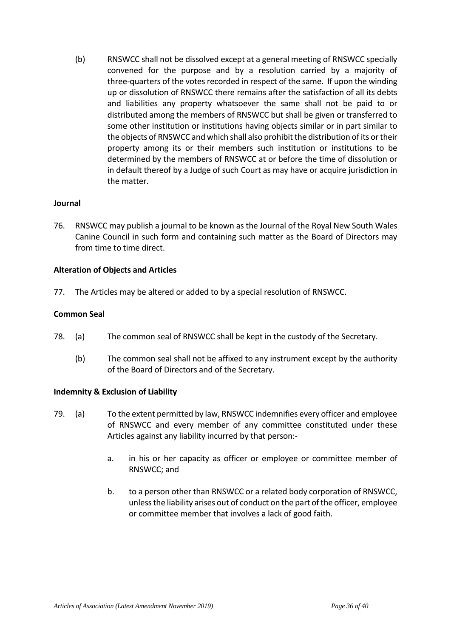(b) RNSWCC shall not be dissolved except at a general meeting of RNSWCC specially convened for the purpose and by a resolution carried by a majority of three-quarters of the votes recorded in respect of the same. If upon the winding up or dissolution of RNSWCC there remains after the satisfaction of all its debts and liabilities any property whatsoever the same shall not be paid to or distributed among the members of RNSWCC but shall be given or transferred to some other institution or institutions having objects similar or in part similar to the objects of RNSWCC and which shall also prohibit the distribution of its or their property among its or their members such institution or institutions to be determined by the members of RNSWCC at or before the time of dissolution or in default thereof by a Judge of such Court as may have or acquire jurisdiction in the matter.

## **Journal**

76. RNSWCC may publish a journal to be known as the Journal of the Royal New South Wales Canine Council in such form and containing such matter as the Board of Directors may from time to time direct.

### **Alteration of Objects and Articles**

77. The Articles may be altered or added to by a special resolution of RNSWCC.

#### **Common Seal**

- 78. (a) The common seal of RNSWCC shall be kept in the custody of the Secretary.
	- (b) The common seal shall not be affixed to any instrument except by the authority of the Board of Directors and of the Secretary.

#### **Indemnity & Exclusion of Liability**

- 79. (a) To the extent permitted by law, RNSWCC indemnifies every officer and employee of RNSWCC and every member of any committee constituted under these Articles against any liability incurred by that person:
	- a. in his or her capacity as officer or employee or committee member of RNSWCC; and
	- b. to a person other than RNSWCC or a related body corporation of RNSWCC, unless the liability arises out of conduct on the part of the officer, employee or committee member that involves a lack of good faith.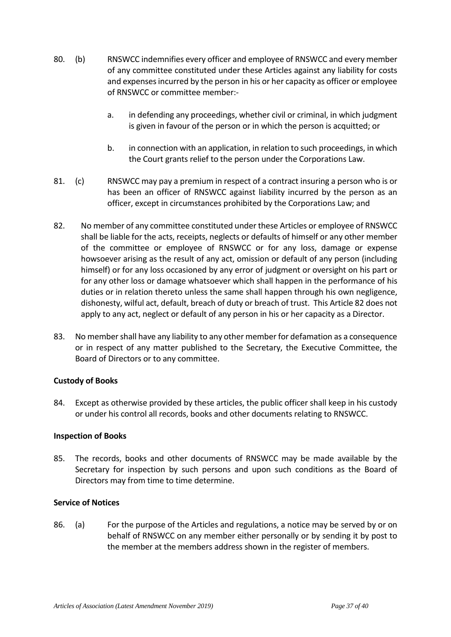- 80. (b) RNSWCC indemnifies every officer and employee of RNSWCC and every member of any committee constituted under these Articles against any liability for costs and expenses incurred by the person in his or her capacity as officer or employee of RNSWCC or committee member:
	- a. in defending any proceedings, whether civil or criminal, in which judgment is given in favour of the person or in which the person is acquitted; or
	- b. in connection with an application, in relation to such proceedings, in which the Court grants relief to the person under the Corporations Law.
- 81. (c) RNSWCC may pay a premium in respect of a contract insuring a person who is or has been an officer of RNSWCC against liability incurred by the person as an officer, except in circumstances prohibited by the Corporations Law; and
- 82. No member of any committee constituted under these Articles or employee of RNSWCC shall be liable for the acts, receipts, neglects or defaults of himself or any other member of the committee or employee of RNSWCC or for any loss, damage or expense howsoever arising as the result of any act, omission or default of any person (including himself) or for any loss occasioned by any error of judgment or oversight on his part or for any other loss or damage whatsoever which shall happen in the performance of his duties or in relation thereto unless the same shall happen through his own negligence, dishonesty, wilful act, default, breach of duty or breach of trust. This Article 82 does not apply to any act, neglect or default of any person in his or her capacity as a Director.
- 83. No member shall have any liability to any other member for defamation as a consequence or in respect of any matter published to the Secretary, the Executive Committee, the Board of Directors or to any committee.

# **Custody of Books**

84. Except as otherwise provided by these articles, the public officer shall keep in his custody or under his control all records, books and other documents relating to RNSWCC.

## **Inspection of Books**

85. The records, books and other documents of RNSWCC may be made available by the Secretary for inspection by such persons and upon such conditions as the Board of Directors may from time to time determine.

## **Service of Notices**

86. (a) For the purpose of the Articles and regulations, a notice may be served by or on behalf of RNSWCC on any member either personally or by sending it by post to the member at the members address shown in the register of members.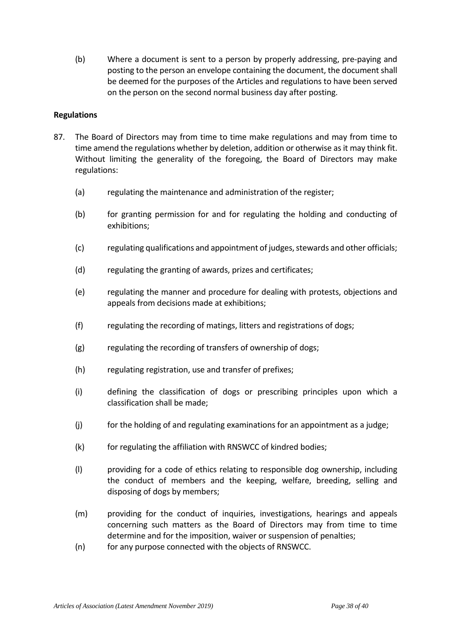(b) Where a document is sent to a person by properly addressing, pre-paying and posting to the person an envelope containing the document, the document shall be deemed for the purposes of the Articles and regulations to have been served on the person on the second normal business day after posting.

## **Regulations**

- 87. The Board of Directors may from time to time make regulations and may from time to time amend the regulations whether by deletion, addition or otherwise as it may think fit. Without limiting the generality of the foregoing, the Board of Directors may make regulations:
	- (a) regulating the maintenance and administration of the register;
	- (b) for granting permission for and for regulating the holding and conducting of exhibitions;
	- (c) regulating qualifications and appointment of judges, stewards and other officials;
	- (d) regulating the granting of awards, prizes and certificates;
	- (e) regulating the manner and procedure for dealing with protests, objections and appeals from decisions made at exhibitions;
	- (f) regulating the recording of matings, litters and registrations of dogs;
	- (g) regulating the recording of transfers of ownership of dogs;
	- (h) regulating registration, use and transfer of prefixes;
	- (i) defining the classification of dogs or prescribing principles upon which a classification shall be made;
	- (j) for the holding of and regulating examinations for an appointment as a judge;
	- (k) for regulating the affiliation with RNSWCC of kindred bodies;
	- (l) providing for a code of ethics relating to responsible dog ownership, including the conduct of members and the keeping, welfare, breeding, selling and disposing of dogs by members;
	- (m) providing for the conduct of inquiries, investigations, hearings and appeals concerning such matters as the Board of Directors may from time to time determine and for the imposition, waiver or suspension of penalties;
	- (n) for any purpose connected with the objects of RNSWCC.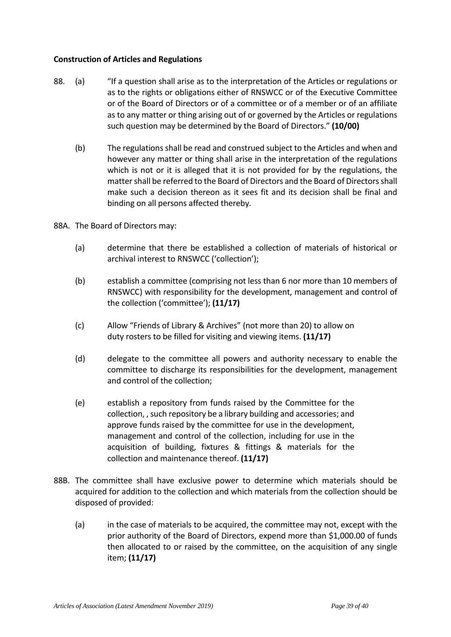# **Construction of Articles and Regulations**

- 88. (a) "If a question shall arise as to the interpretation of the Articles or regulations or as to the rights or obligations either of RNSWCC or of the Executive Committee or of the Board of Directors or of a committee or of a member or of an affiliate as to any matter or thing arising out of or governed by the Articles or regulations such question may be determined by the Board of Directors." **(10/00)**
	- (b) The regulations shall be read and construed subject to the Articles and when and however any matter or thing shall arise in the interpretation of the regulations which is not or it is alleged that it is not provided for by the regulations, the matter shall be referred to the Board of Directors and the Board of Directors shall make such a decision thereon as it sees fit and its decision shall be final and binding on all persons affected thereby.
- 88A. The Board of Directors may:
	- (a) determine that there be established a collection of materials of historical or archival interest to RNSWCC ('collection');
	- (b) establish a committee (comprising not less than 6 nor more than 10 members of RNSWCC) with responsibility for the development, management and control of the collection ('committee'); **(11/17)**
	- (c) Allow "Friends of Library & Archives" (not more than 20) to allow on duty rosters to be filled for visiting and viewing items. **(11/17)**
	- (d) delegate to the committee all powers and authority necessary to enable the committee to discharge its responsibilities for the development, management and control of the collection;
	- (e) establish a repository from funds raised by the Committee for the collection, , such repository be a library building and accessories; and approve funds raised by the committee for use in the development, management and control of the collection, including for use in the acquisition of building, fixtures & fittings & materials for the collection and maintenance thereof. **(11/17)**
- 88B. The committee shall have exclusive power to determine which materials should be acquired for addition to the collection and which materials from the collection should be disposed of provided:
	- (a) in the case of materials to be acquired, the committee may not, except with the prior authority of the Board of Directors, expend more than \$1,000.00 of funds then allocated to or raised by the committee, on the acquisition of any single item; **(11/17)**